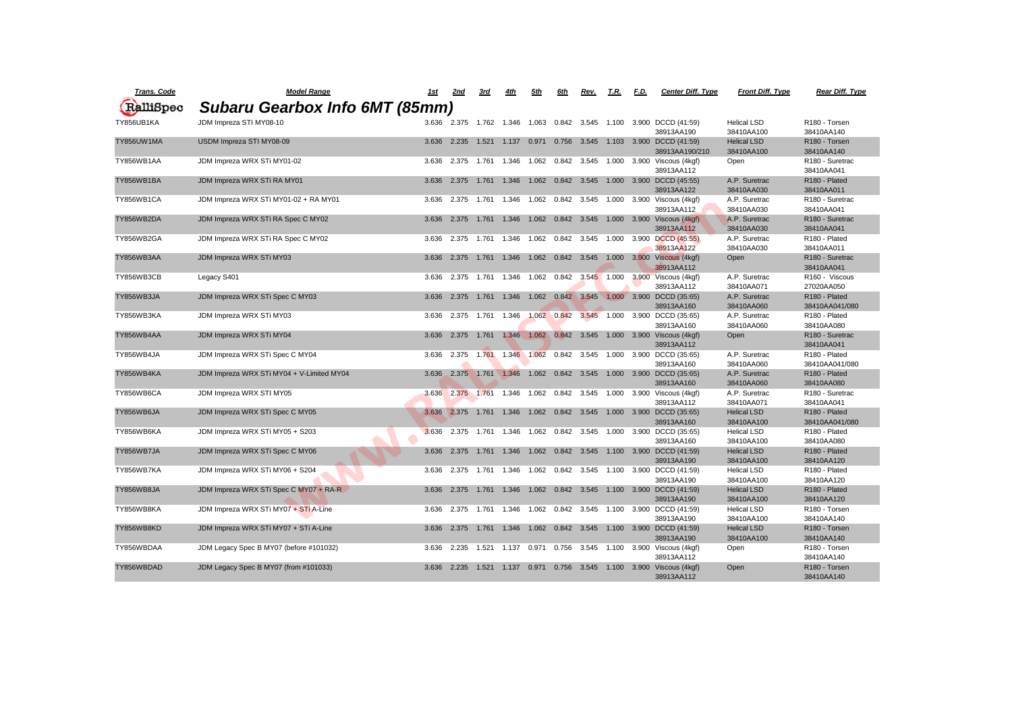| <b>Trans. Code</b> | <b>Model Range</b>                        | <u> 1st</u> | <u>2nd</u>  | <u>3rd</u> | 4th                                       | 5th                 | 6th                 | Rev.                       | T.R.  | F.D. | <b>Center Diff. Type</b>                                                                  | <b>Front Diff. Type</b>     | Rear Diff. Type                             |
|--------------------|-------------------------------------------|-------------|-------------|------------|-------------------------------------------|---------------------|---------------------|----------------------------|-------|------|-------------------------------------------------------------------------------------------|-----------------------------|---------------------------------------------|
| RalliSpec          | Subaru Gearbox Info 6MT (85mm)            |             |             |            |                                           |                     |                     |                            |       |      |                                                                                           |                             |                                             |
|                    |                                           |             |             |            |                                           |                     |                     |                            |       |      |                                                                                           |                             |                                             |
| TY856UB1KA         | JDM Impreza STI MY08-10                   |             |             |            |                                           |                     |                     |                            |       |      | 3.636  2.375  1.762  1.346  1.063  0.842  3.545  1.100  3.900  DCCD (41:59)<br>38913AA190 | Helical LSD<br>38410AA100   | R <sub>180</sub> - Torsen<br>38410AA140     |
| TY856UW1MA         | USDM Impreza STI MY08-09                  |             | 3.636 2.235 |            | 1.521  1.137  0.971  0.756  3.545         |                     |                     |                            |       |      | 1.103 3.900 DCCD (41:59)                                                                  | <b>Helical LSD</b>          | R <sub>180</sub> - Torsen                   |
|                    |                                           |             |             |            |                                           |                     |                     |                            |       |      | 38913AA190/210                                                                            | 38410AA100                  | 38410AA140                                  |
| TY856WB1AA         | JDM Impreza WRX STi MY01-02               | 3.636       | 2.375       | 1.761      |                                           |                     |                     |                            |       |      | 1.346  1.062  0.842  3.545  1.000  3.900  Viscous (4kgf)                                  | Open                        | R <sub>180</sub> - Suretrac                 |
|                    |                                           |             |             |            |                                           |                     |                     |                            |       |      | 38913AA112                                                                                |                             | 38410AA041                                  |
| TY856WB1BA         | JDM Impreza WRX STi RA MY01               |             | 3.636 2.375 | 1.761      | 1.346                                     |                     |                     |                            |       |      | 1.062  0.842  3.545  1.000  3.900  DCCD (45:55)                                           | A.P. Suretrac               | R <sub>180</sub> - Plated                   |
|                    |                                           |             |             |            |                                           |                     |                     |                            |       |      | 38913AA122                                                                                | 38410AA030                  | 38410AA011                                  |
| TY856WB1CA         | JDM Impreza WRX STi MY01-02 + RA MY01     | 3.636       | 2.375       | 1.761      | 1.346                                     | 1.062               |                     | 0.842 3.545                | 1.000 |      | 3.900 Viscous (4kgf)                                                                      | A.P. Suretrac               | R <sub>180</sub> - Suretrac                 |
|                    |                                           |             |             |            |                                           |                     |                     |                            |       |      | 38913AA112                                                                                | 38410AA030                  | 38410AA041                                  |
| TY856WB2DA         | JDM Impreza WRX STi RA Spec C MY02        | 3.636       | 2.375       | 1.761      | 1.346                                     |                     |                     | 1.062  0.842  3.545        |       |      | 1.000 3.900 Viscous (4kgf)<br>38913AA112                                                  | A.P. Suretrac<br>38410AA030 | R <sub>180</sub> - Suretrac<br>38410AA041   |
| TY856WB2GA         | JDM Impreza WRX STi RA Spec C MY02        | 3.636       | 2.375       | 1.761      | 1.346                                     |                     |                     | 1.062  0.842  3.545  1.000 |       |      | 3.900 DCCD (45:55)                                                                        | A.P. Suretrac               | R180 - Plated                               |
|                    |                                           |             |             |            |                                           |                     |                     |                            |       |      | 38913AA122                                                                                | 38410AA030                  | 38410AA011                                  |
| TY856WB3AA         | JDM Impreza WRX STi MY03                  | 3.636       | 2.375       |            | 1.761 1.346                               |                     |                     |                            |       |      | 1.062  0.842  3.545  1.000  3.900  Viscous (4kgf)                                         | Open                        | R <sub>180</sub> - Suretrac                 |
|                    |                                           |             |             |            |                                           |                     |                     |                            |       |      | 38913AA112                                                                                |                             | 38410AA041                                  |
| TY856WB3CB         | Legacy S401                               | 3.636       | 2.375       | 1.761      |                                           |                     |                     |                            |       |      | 1.346  1.062  0.842  3.545  1.000  3.900  Viscous (4kgf)                                  | A.P. Suretrac               | R <sub>160</sub> - Viscous                  |
|                    |                                           |             |             |            |                                           |                     |                     |                            |       |      | 38913AA112                                                                                | 38410AA071                  | 27020AA050                                  |
| TY856WB3JA         | JDM Impreza WRX STi Spec C MY03           |             | 3.636 2.375 | 1.761      | 1.346                                     |                     | 1.062  0.842  3.545 |                            | 1.000 |      | 3.900 DCCD (35:65)                                                                        | A.P. Suretrac               | R180 - Plated                               |
|                    |                                           |             |             |            |                                           |                     |                     |                            |       |      | 38913AA160                                                                                | 38410AA060                  | 38410AA041/080                              |
| TY856WB3KA         | JDM Impreza WRX STi MY03                  | 3.636       | 2.375       | 1.761      | 1.346                                     | 1.062 0.842         |                     | 3.545 1.000                |       |      | 3.900 DCCD (35:65)                                                                        | A.P. Suretrac               | R <sub>180</sub> - Plated                   |
|                    |                                           |             |             |            |                                           |                     |                     |                            |       |      | 38913AA160                                                                                | 38410AA060                  | 38410AA080                                  |
| TY856WB4AA         | JDM Impreza WRX STi MY04                  | 3.636       | 2.375       | 1.761      | 1.346                                     | 1.062 0.842 3.545   |                     |                            | 1.000 |      | 3.900 Viscous (4kgf)                                                                      | Open                        | R <sub>180</sub> - Suretrac                 |
|                    |                                           |             |             |            |                                           |                     |                     |                            |       |      | 38913AA112                                                                                |                             | 38410AA041                                  |
| TY856WB4JA         | JDM Impreza WRX STi Spec C MY04           | 3.636       | 2.375       | 1.761      |                                           |                     |                     | 1.346 1.062 0.842 3.545    | 1.000 |      | 3.900 DCCD (35:65)                                                                        | A.P. Suretrac               | R <sub>180</sub> - Plated                   |
| TY856WB4KA         | JDM Impreza WRX STi MY04 + V-Limited MY04 |             |             |            |                                           |                     |                     |                            |       |      | 38913AA160<br>3.636 2.375 1.761 1.346 1.062 0.842 3.545 1.000 3.900 DCCD (35:65)          | 38410AA060<br>A.P. Suretrac | 38410AA041/080<br>R <sub>180</sub> - Plated |
|                    |                                           |             |             |            |                                           |                     |                     |                            |       |      | 38913AA160                                                                                | 38410AA060                  | 38410AA080                                  |
| TY856WB6CA         | JDM Impreza WRX STI MY05                  | 3.636       | 2.375 1.761 |            | 1.346                                     |                     |                     |                            |       |      | 1.062  0.842  3.545  1.000  3.900  Viscous (4kgf)                                         | A.P. Suretrac               | R180 - Suretrac                             |
|                    |                                           |             |             |            |                                           |                     |                     |                            |       |      | 38913AA112                                                                                | 38410AA071                  | 38410AA041                                  |
| TY856WB6JA         | JDM Impreza WRX STi Spec C MY05           |             | 3.636 2.375 | 1.761      | 1.346                                     | 1.062  0.842  3.545 |                     |                            |       |      | 1.000 3.900 DCCD (35:65)                                                                  | <b>Helical LSD</b>          | R <sub>180</sub> - Plated                   |
|                    |                                           |             |             |            |                                           |                     |                     |                            |       |      | 38913AA160                                                                                | 38410AA100                  | 38410AA041/080                              |
| TY856WB6KA         | JDM Impreza WRX STi MY05 + S203           | 3.636       | 2.375       | 1.761      |                                           | 1.346 1.062         |                     | 0.842 3.545                | 1.000 |      | 3.900 DCCD (35:65)                                                                        | <b>Helical LSD</b>          | R180 - Plated                               |
|                    |                                           |             |             |            |                                           |                     |                     |                            |       |      | 38913AA160                                                                                | 38410AA100                  | 38410AA080                                  |
| TY856WB7JA         | JDM Impreza WRX STi Spec C MY06           | 3.636       | 2.375       | 1.761      | 1.346                                     | 1.062               | 0.842               | 3.545                      | 1.100 |      | 3.900 DCCD (41:59)                                                                        | <b>Helical LSD</b>          | R <sub>180</sub> - Plated                   |
|                    |                                           |             |             |            |                                           |                     |                     |                            |       |      | 38913AA190                                                                                | 38410AA100                  | 38410AA120                                  |
| TY856WB7KA         | JDM Impreza WRX STi MY06 + S204           |             | 3.636 2.375 | 1.761      | 1.346                                     |                     |                     |                            |       |      | 1.062  0.842  3.545  1.100  3.900  DCCD (41:59)                                           | <b>Helical LSD</b>          | R <sub>180</sub> - Plated                   |
|                    |                                           |             |             |            |                                           |                     |                     |                            |       |      | 38913AA190                                                                                | 38410AA100                  | 38410AA120                                  |
| TY856WB8JA         | JDM Impreza WRX STi Spec C MY07 + RA-R    |             |             |            |                                           |                     |                     |                            |       |      | 3.636  2.375  1.761  1.346  1.062  0.842  3.545  1.100  3.900  DCCD (41:59)               | <b>Helical LSD</b>          | R180 - Plated                               |
|                    | JDM Impreza WRX STi MY07 + STi A-Line     |             |             |            |                                           |                     |                     |                            |       |      | 38913AA190                                                                                | 38410AA100                  | 38410AA120<br>R180 - Torsen                 |
| TY856WB8KA         |                                           |             |             |            |                                           |                     |                     |                            |       |      | 3.636  2.375  1.761  1.346  1.062  0.842  3.545  1.100  3.900  DCCD (41:59)<br>38913AA190 | Helical LSD<br>38410AA100   | 38410AA140                                  |
| TY856WB8KD         | JDM Impreza WRX STi MY07 + STi A-Line     |             |             |            | 3.636 2.375 1.761 1.346 1.062 0.842 3.545 |                     |                     |                            |       |      | 1.100 3.900 DCCD (41:59)                                                                  | <b>Helical LSD</b>          | R180 - Torsen                               |
|                    |                                           |             |             |            |                                           |                     |                     |                            |       |      | 38913AA190                                                                                | 38410AA100                  | 38410AA140                                  |
| TY856WBDAA         | JDM Legacy Spec B MY07 (before #101032)   |             |             |            |                                           |                     |                     |                            |       |      | 3.636  2.235  1.521  1.137  0.971  0.756  3.545  1.100  3.900  Viscous (4kgf)             | Open                        | R180 - Torsen                               |
|                    |                                           |             |             |            |                                           |                     |                     |                            |       |      | 38913AA112                                                                                |                             | 38410AA140                                  |
| TY856WBDAD         | JDM Legacy Spec B MY07 (from #101033)     |             |             |            |                                           |                     |                     |                            |       |      | 3.636  2.235  1.521  1.137  0.971  0.756  3.545  1.100  3.900  Viscous (4kgf)             | Open                        | R180 - Torsen                               |
|                    |                                           |             |             |            |                                           |                     |                     |                            |       |      | 38913AA112                                                                                |                             | 38410AA140                                  |

38410AA140<br>R180 - Torsen 38410AA140 38410AA041<br>R180 - Plated 38410AA011 38410AA041 38410AA041<br>R180 - Plated 38410AA011 38410AA041<br>R160 - Viscous 27020AA050<br>R180 - Plated 38410AA041/080<br>R180 - Plated 38410AA080<br>R180 - Suretrac 38410AA041<br>R180 - Plated 38410AA041/080<br>R180 - Plated 38913AA160 38410AA060 38410AA080 38410AA041 38410AA041/080 38913AA160 38410AA100 38410AA080 38913AA190 38410AA100 38410AA120 38913AA190 38410AA100 38410AA120 38410AA120<br>R180 - Torsen 38410AA140<br>R180 - Torsen 38410AA140 38410AA140<br>R180 - Torsen 38410AA140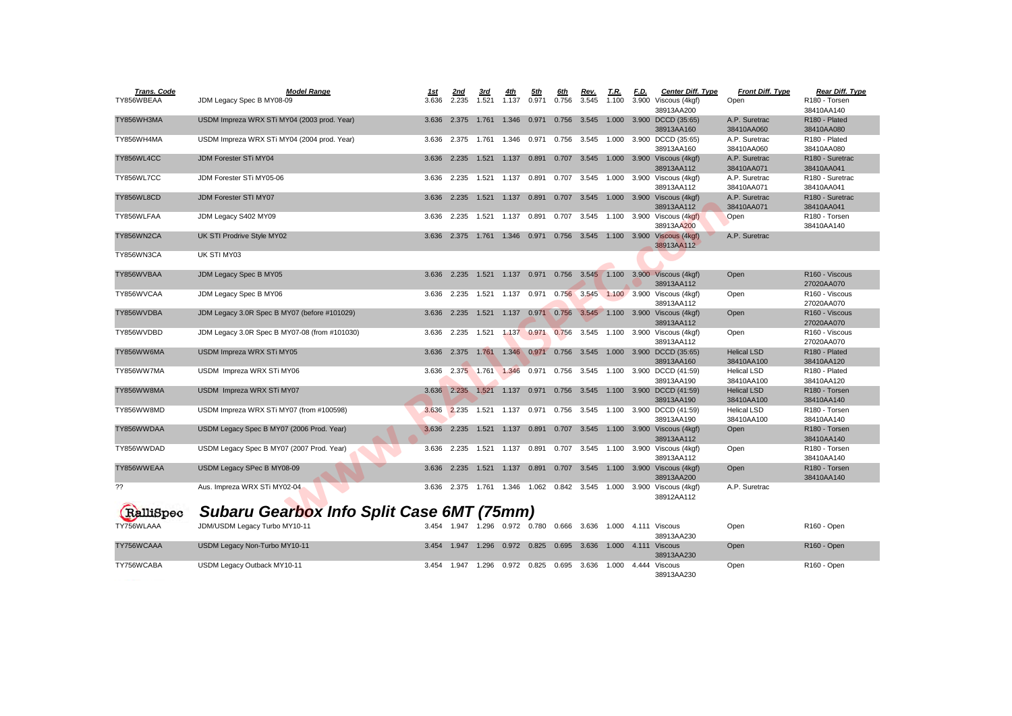| <b>Trans. Code</b> | <b>Model Range</b>                               | <u> 1st</u> | <u>2nd</u>                          | 3rd         | <u>4th</u>                               | <u>5th</u>  | 6th               | Rev.                                            | <u>T.R.</u> | <u>F.D.</u> | <b>Center Diff. Type</b>                                       | <b>Front Diff. Type</b> | Rear Diff. Type                         |
|--------------------|--------------------------------------------------|-------------|-------------------------------------|-------------|------------------------------------------|-------------|-------------------|-------------------------------------------------|-------------|-------------|----------------------------------------------------------------|-------------------------|-----------------------------------------|
| TY856WBEAA         | JDM Legacy Spec B MY08-09                        | 3.636       | 2.235                               | 1.521       | 1.137                                    | 0.971       | 0.756             | 3.545                                           | 1.100       |             | 3.900 Viscous (4kgf)                                           | Open                    | R <sub>180</sub> - Torsen               |
| TY856WH3MA         | USDM Impreza WRX STi MY04 (2003 prod. Year)      | 3.636       | 2.375                               | 1.761       | 1.346                                    | 0.971       |                   | 0.756 3.545                                     |             |             | 38913AA200<br>1.000 3.900 DCCD (35:65)                         | A.P. Suretrac           | 38410AA140<br>R <sub>180</sub> - Plated |
|                    |                                                  |             |                                     |             |                                          |             |                   |                                                 |             |             | 38913AA160                                                     | 38410AA060              | 38410AA080                              |
| TY856WH4MA         | USDM Impreza WRX STi MY04 (2004 prod. Year)      | 3.636       |                                     | 2.375 1.761 | 1.346                                    | 0.971       | 0.756             | 3.545                                           | 1.000       |             | 3.900 DCCD (35:65)                                             | A.P. Suretrac           | R180 - Plated                           |
|                    |                                                  |             |                                     |             |                                          |             |                   |                                                 |             |             | 38913AA160                                                     | 38410AA060              | 38410AA080                              |
| TY856WL4CC         | <b>JDM Forester STi MY04</b>                     | 3.636       | 2.235                               | 1.521       | 1.137                                    | 0.891       | 0.707             | 3.545                                           |             |             | 1.000 3.900 Viscous (4kgf)                                     | A.P. Suretrac           | R <sub>180</sub> - Suretrac             |
|                    |                                                  |             |                                     |             |                                          |             |                   |                                                 |             |             | 38913AA112                                                     | 38410AA071              | 38410AA041                              |
| TY856WL7CC         | JDM Forester STi MY05-06                         | 3.636       | 2.235                               |             | 1.521  1.137  0.891                      |             | 0.707             | 3.545                                           |             |             | 1.000 3.900 Viscous (4kgf)                                     | A.P. Suretrac           | R180 - Suretrac                         |
|                    |                                                  |             |                                     |             |                                          |             |                   |                                                 |             |             | 38913AA112                                                     | 38410AA071              | 38410AA041                              |
| TY856WL8CD         | <b>JDM Forester STI MY07</b>                     | 3.636       |                                     |             | 2.235  1.521  1.137  0.891  0.707  3.545 |             |                   |                                                 |             |             | 1.000 3.900 Viscous (4kgf)                                     | A.P. Suretrac           | R <sub>180</sub> - Suretrac             |
|                    |                                                  |             |                                     |             |                                          |             |                   |                                                 |             |             | 38913AA112                                                     | 38410AA071              | 38410AA041                              |
| TY856WLFAA         | JDM Legacy S402 MY09                             | 3.636       | 2.235                               |             | 1.521  1.137  0.891                      |             | 0.707             | 3.545                                           |             |             | 1.100 3.900 Viscous (4kgf)                                     | Open                    | R180 - Torsen                           |
| TY856WN2CA         | UK STI Prodrive Style MY02                       |             |                                     |             | 1.346                                    | 0.971       |                   | 0.756 3.545                                     |             |             | 38913AA200<br>1.100 3.900 Viscous (4kgf)                       | A.P. Suretrac           | 38410AA140                              |
|                    |                                                  | 3.636       | 2.375                               | 1.761       |                                          |             |                   |                                                 |             |             | 38913AA112                                                     |                         |                                         |
| TY856WN3CA         | UK STI MY03                                      |             |                                     |             |                                          |             |                   |                                                 |             |             |                                                                |                         |                                         |
|                    |                                                  |             |                                     |             |                                          |             |                   |                                                 |             |             |                                                                |                         |                                         |
| TY856WVBAA         | JDM Legacy Spec B MY05                           | 3.636       | 2.235                               | 1.521       | 1.137                                    | 0.971       |                   |                                                 |             |             | 0.756 3.545 1.100 3.900 Viscous (4kgf)                         | Open                    | R <sub>160</sub> - Viscous              |
|                    |                                                  |             |                                     |             |                                          |             |                   |                                                 |             |             | 38913AA112                                                     |                         | 27020AA070                              |
| TY856WVCAA         | JDM Legacy Spec B MY06                           | 3.636       |                                     |             | 2.235  1.521  1.137                      | 0.971       |                   |                                                 |             |             | 0.756 3.545 1.100 3.900 Viscous (4kgf)                         | Open                    | R <sub>160</sub> - Viscous              |
|                    |                                                  |             |                                     |             |                                          |             |                   |                                                 |             |             | 38913AA112                                                     |                         | 27020AA070                              |
| TY856WVDBA         | JDM Legacy 3.0R Spec B MY07 (before #101029)     | 3.636       |                                     |             |                                          |             |                   |                                                 |             |             | 2.235 1.521 1.137 0.971 0.756 3.545 1.100 3.900 Viscous (4kgf) | Open                    | R <sub>160</sub> - Viscous              |
|                    |                                                  |             |                                     |             |                                          |             |                   |                                                 |             |             | 38913AA112                                                     |                         | 27020AA070                              |
| TY856WVDBD         | JDM Legacy 3.0R Spec B MY07-08 (from #101030)    | 3.636       | 2.235 1.521                         |             |                                          |             | 1.137 0.971 0.756 | 3.545                                           |             |             | 1.100 3.900 Viscous (4kgf)<br>38913AA112                       | Open                    | R160 - Viscous<br>27020AA070            |
| TY856WW6MA         | USDM Impreza WRX STi MY05                        | 3.636       |                                     | 2.375 1.761 |                                          | 1.346 0.971 |                   | 0.756 3.545                                     |             |             | 1.000 3.900 DCCD (35:65)                                       | <b>Helical LSD</b>      | R <sub>180</sub> - Plated               |
|                    |                                                  |             |                                     |             |                                          |             |                   |                                                 |             |             | 38913AA160                                                     | 38410AA100              | 38410AA120                              |
| TY856WW7MA         | USDM Impreza WRX STi MY06                        | 3.636       |                                     |             | 2.375 1.761 1.346                        | 0.971       | 0.756             | 3.545                                           | 1.100       |             | 3.900 DCCD (41:59)                                             | Helical LSD             | R180 - Plated                           |
|                    |                                                  |             |                                     |             |                                          |             |                   |                                                 |             |             | 38913AA190                                                     | 38410AA100              | 38410AA120                              |
| TY856WW8MA         | USDM Impreza WRX STi MY07                        | 3.636       | 2.235                               | 1.521       | 1.137                                    | 0.971       | 0.756             | 3.545                                           |             |             | 1.100 3.900 DCCD (41:59)                                       | <b>Helical LSD</b>      | R <sub>180</sub> - Torsen               |
|                    |                                                  |             |                                     |             |                                          |             |                   |                                                 |             |             | 38913AA190                                                     | 38410AA100              | 38410AA140                              |
| TY856WW8MD         | USDM Impreza WRX STi MY07 (from #100598)         | 3.636       | 2.235                               | 1.521       | 1.137                                    | 0.971       | 0.756             | 3.545                                           | 1.100       |             | 3.900 DCCD (41:59)                                             | Helical LSD             | R <sub>180</sub> - Torsen               |
|                    |                                                  |             |                                     |             |                                          |             |                   |                                                 |             |             | 38913AA190                                                     | 38410AA100              | 38410AA140                              |
| TY856WWDAA         | USDM Legacy Spec B MY07 (2006 Prod. Year)        | 3.636       | 2.235                               |             | 1.521  1.137  0.891                      |             |                   |                                                 |             |             | 0.707 3.545 1.100 3.900 Viscous (4kgf)                         | Open                    | R <sub>180</sub> - Torsen               |
|                    |                                                  |             |                                     |             |                                          |             |                   |                                                 |             |             | 38913AA112                                                     |                         | 38410AA140                              |
| TY856WWDAD         | USDM Legacy Spec B MY07 (2007 Prod. Year)        | 3.636       |                                     | 2.235 1.521 | 1.137                                    | 0.891       | 0.707             | 3.545                                           |             |             | 1.100 3.900 Viscous (4kgf)<br>38913AA112                       | Open                    | R180 - Torsen<br>38410AA140             |
| TY856WWEAA         | USDM Legacy SPec B MY08-09                       | 3.636       | 2.235                               | 1.521       | 1.137                                    | 0.891       | 0.707             | 3.545                                           |             |             | 1.100 3.900 Viscous (4kgf)                                     | Open                    | R <sub>180</sub> - Torsen               |
|                    |                                                  |             |                                     |             |                                          |             |                   |                                                 |             |             | 38913AA200                                                     |                         | 38410AA140                              |
| ??                 | Aus. Impreza WRX STi MY02-04                     | 3.636       |                                     |             |                                          |             |                   | 2.375  1.761  1.346  1.062  0.842  3.545  1.000 |             |             | 3.900 Viscous (4kgf)                                           | A.P. Suretrac           |                                         |
|                    |                                                  |             |                                     |             |                                          |             |                   |                                                 |             |             | 38912AA112                                                     |                         |                                         |
|                    | <b>Subaru Gearbox Info Split Case 6MT (75mm)</b> |             |                                     |             |                                          |             |                   |                                                 |             |             |                                                                |                         |                                         |
| RalliSpec          |                                                  |             |                                     |             |                                          |             |                   |                                                 |             |             |                                                                |                         |                                         |
| TY756WLAAA         | JDM/USDM Legacy Turbo MY10-11                    |             | 3.454 1.947 1.296 0.972 0.780 0.666 |             |                                          |             |                   | 3.636                                           |             |             | 1.000   4.111   Viscous                                        | Open                    | R <sub>160</sub> - Open                 |
|                    |                                                  |             |                                     |             |                                          |             |                   |                                                 |             |             | 38913AA230                                                     |                         |                                         |
| TY756WCAAA         | USDM Legacy Non-Turbo MY10-11                    | 3.454       |                                     | 1.947 1.296 |                                          | 0.972 0.825 | 0.695             | 3.636                                           |             |             | 1.000  4.111  Viscous                                          | Open                    | R160 - Open                             |
| TY756WCABA         | USDM Legacy Outback MY10-11                      | 3.454       | 1.947 1.296                         |             |                                          | 0.972 0.825 | 0.695             | 3.636                                           | 1.000       |             | 38913AA230<br>4.444 Viscous                                    |                         | R <sub>160</sub> - Open                 |
|                    |                                                  |             |                                     |             |                                          |             |                   |                                                 |             |             | 38913AA230                                                     | Open                    |                                         |

38410AA140<br>R180 - Plated 38410AA080<br>R180 - Plated 38410AA080<br>R180 - Suretrac 38410AA041<br>R180 - Suretrac 38913AA112 38410AA071 38410AA041 38410AA041<br>R180 - Torsen 38410AA140

27020AA070<br>R160 - Viscous 27020AA070<br>R160 - Viscous 38913AA112 27020AA070 27020AA070<br>R180 - Plated 38410AA120<br>R180 - Plated 38913AA190 38410AA100 38410AA120 38410AA140 38410AA140 38410AA140<br>R180 - Torsen 38410AA140<br>R180 - Torsen 38410AA140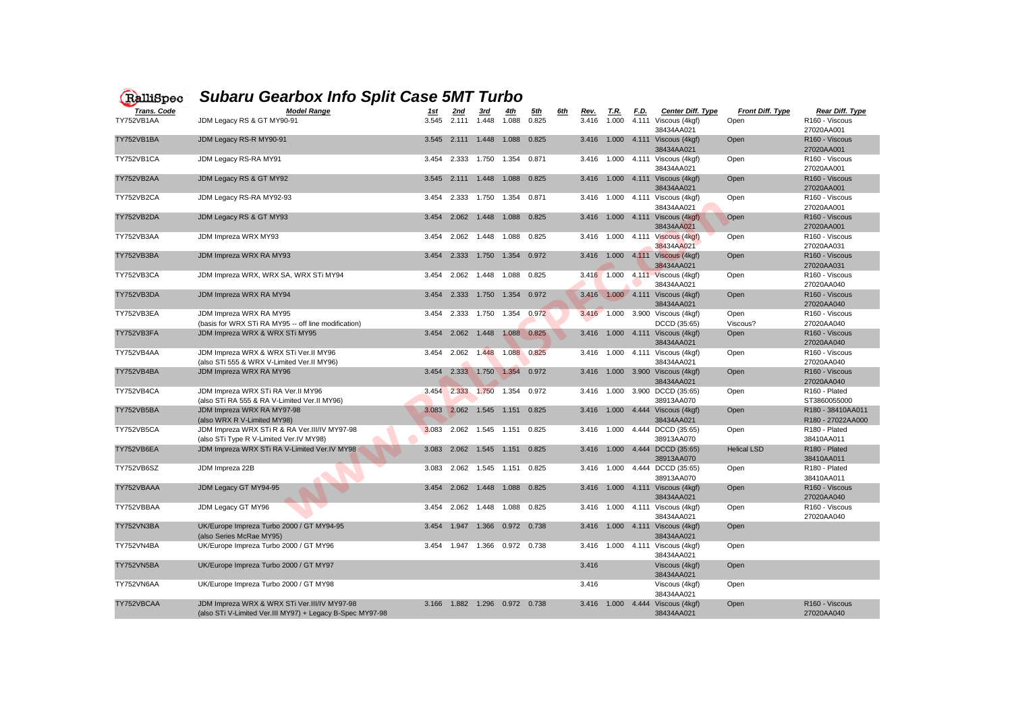27020AA001<br>R160 - Viscous 38434AA021 27020AA001 38434AA021 27020AA001 38434AA021 27020AA001 27020AA001<br>R160 - Viscous 38434AA021 27020AA001 27020AA031<br>R160 - Viscous 27020AA031<br>R160 - Viscous 27020AA040<br>R160 - Viscous 27020AA040<br>R160 - Viscous 38434AA021 27020AA040 38434AA021 27020AA040 38410AA011<br>R180 - Plated 38410AA011<br>R160 - Viscous 27020AA040<br>R160 - Viscous 38434AA021 27020AA040

| RalliSpec                        | <b>Subaru Gearbox Info Split Case 5MT Turbo</b>                                                           |                      |                     |             |                                   |                     |            |                      |                      |             |                                                                |                                 |                                                                    |
|----------------------------------|-----------------------------------------------------------------------------------------------------------|----------------------|---------------------|-------------|-----------------------------------|---------------------|------------|----------------------|----------------------|-------------|----------------------------------------------------------------|---------------------------------|--------------------------------------------------------------------|
| <b>Trans. Code</b><br>TY752VB1AA | <b>Model Range</b><br>JDM Legacy RS & GT MY90-91                                                          | <u> 1st</u><br>3.545 | <u>2nd</u><br>2.111 | 1.448       | 1.088                             | <u>5th</u><br>0.825 | <u>6th</u> | <u>Rev.</u><br>3.416 | <u>T.R.</u><br>1.000 | <u>F.D.</u> | <b>Center Diff. Type</b><br>4.111 Viscous (4kgf)<br>38434AA021 | <b>Front Diff. Type</b><br>Open | <b>Rear Diff. Type</b><br>R <sub>160</sub> - Viscous<br>27020AA001 |
| TY752VB1BA                       | JDM Legacy RS-R MY90-91                                                                                   |                      | 3.545 2.111         | 1.448       | 1.088                             | 0.825               |            | 3.416                |                      |             | 1.000  4.111  Viscous (4kgf)<br>38434AA021                     | Open                            | R <sub>160</sub> - Viscous<br>27020AA001                           |
| TY752VB1CA                       | JDM Legacy RS-RA MY91                                                                                     | 3.454                |                     |             |                                   |                     |            |                      |                      |             | 3.416  1.000  4.111  Viscous (4kgf)<br>38434AA021              | Open                            | R <sub>160</sub> - Viscous<br>27020AA001                           |
| TY752VB2AA                       | JDM Legacy RS & GT MY92                                                                                   |                      | 3.545 2.111         | 1.448       | 1.088                             | 0.825               |            | 3.416                |                      |             | 1.000  4.111  Viscous (4kgf)<br>38434AA021                     | Open                            | R <sub>160</sub> - Viscous<br>27020AA001                           |
| TY752VB2CA                       | JDM Legacy RS-RA MY92-93                                                                                  | 3.454                | 2.333               | 1.750       | 1.354                             | 0.871               |            | 3.416                | 1.000                |             | 4.111 Viscous (4kgf)<br>38434AA021                             | Open                            | R <sub>160</sub> - Viscous<br>27020AA001                           |
| TY752VB2DA                       | JDM Legacy RS & GT MY93                                                                                   | 3.454                | 2.062               | 1.448       | 1.088                             | 0.825               |            | 3.416                | 1.000                |             | 4.111 Viscous (4kgf)<br>38434AA021                             | Open                            | R <sub>160</sub> - Viscous<br>27020AA001                           |
| TY752VB3AA                       | JDM Impreza WRX MY93                                                                                      | 3.454                | 2.062               | 1.448       | 1.088                             | 0.825               |            | 3.416                | 1.000                |             | 4.111 Viscous (4kgf)<br>38434AA021                             | Open                            | R <sub>160</sub> - Viscous<br>27020AA031                           |
| TY752VB3BA                       | JDM Impreza WRX RA MY93                                                                                   | 3.454                | 2.333               | 1.750       | 1.354                             | 0.972               |            | 3.416                |                      |             | 1.000  4.111  Viscous (4kgf)<br>38434AA021                     | Open                            | R <sub>160</sub> - Viscous<br>27020AA031                           |
| TY752VB3CA                       | JDM Impreza WRX, WRX SA, WRX STi MY94                                                                     | 3.454                |                     |             | 2.062 1.448 1.088 0.825           |                     |            |                      |                      |             | 3.416 1.000 4.111 Viscous (4kgf)<br>38434AA021                 | Open                            | R <sub>160</sub> - Viscous<br>27020AA040                           |
| TY752VB3DA                       | JDM Impreza WRX RA MY94                                                                                   | 3.454                | 2.333               | 1.750       | 1.354                             | 0.972               |            | 3.416                |                      |             | $1.000$ 4.111 Viscous (4kgf)<br>38434AA021                     | Open                            | R <sub>160</sub> - Viscous<br>27020AA040                           |
| TY752VB3EA                       | JDM Impreza WRX RA MY95<br>(basis for WRX STi RA MY95 -- off line modification)                           | 3.454                | 2.333               | 1.750       | 1.354                             | 0.972               |            | 3.416                | 1.000                |             | 3.900 Viscous (4kgf)<br>DCCD (35:65)                           | Open<br>Viscous?                | R <sub>160</sub> - Viscous<br>27020AA040                           |
| TY752VB3FA                       | JDM Impreza WRX & WRX STi MY95                                                                            | 3.454                | 2.062               | 1.448       |                                   | 1.088 0.825         |            | 3.416                |                      |             | 1.000  4.111  Viscous (4kgf)<br>38434AA021                     | Open                            | R <sub>160</sub> - Viscous<br>27020AA040                           |
| TY752VB4AA                       | JDM Impreza WRX & WRX STi Ver.II MY96<br>(also STi 555 & WRX V-Limited Ver.II MY96)                       | 3.454                | 2.062               | 1.448       |                                   | 1.088 0.825         |            | 3.416                | 1.000                |             | 4.111 Viscous (4kgf)<br>38434AA021                             | Open                            | R <sub>160</sub> - Viscous<br>27020AA040                           |
| TY752VB4BA                       | JDM Impreza WRX RA MY96                                                                                   | 3.454                | 2.333               | 1.750       | 1.354                             | 0.972               |            | 3.416                | 1.000                |             | 3.900 Viscous (4kgf)<br>38434AA021                             | Open                            | R160 - Viscous<br>27020AA040                                       |
| TY752VB4CA                       | JDM Impreza WRX STi RA Ver.II MY96<br>(also STi RA 555 & RA V-Limited Ver.II MY96)                        |                      |                     |             | 3.454 2.333 1.750 1.354 0.972     |                     |            |                      | 3.416 1.000          |             | 3.900 DCCD (35:65)<br>38913AA070                               | Open                            | R <sub>160</sub> - Plated<br>ST3860055000                          |
| TY752VB5BA                       | JDM Impreza WRX RA MY97-98<br>(also WRX R V-Limited MY98)                                                 |                      | 3.083 2.062 1.545   |             | 1.151                             | 0.825               |            | 3.416                |                      |             | 1.000  4.444  Viscous (4kgf)<br>38434AA021                     | Open                            | R180 - 38410AA011<br>R180 - 27022AA000                             |
| TY752VB5CA                       | JDM Impreza WRX STi R & RA Ver.III/IV MY97-98<br>(also STi Type R V-Limited Ver.IV MY98)                  | 3.083                |                     | 2.062 1.545 | 1.151                             | 0.825               |            | 3.416                | 1.000                |             | 4.444 DCCD (35:65)<br>38913AA070                               | Open                            | R180 - Plated<br>38410AA011                                        |
| TY752VB6EA                       | JDM Impreza WRX STi RA V-Limited Ver.IV MY98                                                              | 3.083                |                     | 2.062 1.545 | 1.151                             | 0.825               |            | 3.416                | 1.000                |             | 4.444 DCCD (35:65)<br>38913AA070                               | <b>Helical LSD</b>              | R <sub>180</sub> - Plated<br>38410AA011                            |
| TY752VB6SZ                       | JDM Impreza 22B                                                                                           | 3.083                | 2.062               | 1.545       | 1.151                             | 0.825               |            | 3.416                | 1.000                |             | 4.444 DCCD (35:65)<br>38913AA070                               | Open                            | R180 - Plated<br>38410AA011                                        |
| TY752VBAAA                       | JDM Legacy GT MY94-95                                                                                     |                      |                     |             | 3.454 2.062 1.448 1.088 0.825     |                     |            |                      |                      |             | 3.416  1.000  4.111  Viscous (4kgf)<br>38434AA021              | Open                            | R160 - Viscous<br>27020AA040                                       |
| TY752VBBAA                       | JDM Legacy GT MY96                                                                                        |                      |                     |             | 3.454 2.062 1.448 1.088 0.825     |                     |            |                      |                      |             | 3.416  1.000  4.111  Viscous (4kgf)<br>38434AA021              | Open                            | R160 - Viscous<br>27020AA040                                       |
| TY752VN3BA                       | UK/Europe Impreza Turbo 2000 / GT MY94-95<br>(also Series McRae MY95)                                     |                      |                     |             | 3.454  1.947  1.366  0.972  0.738 |                     |            | 3.416                |                      |             | 1.000  4.111  Viscous (4kgf)<br>38434AA021                     | Open                            |                                                                    |
| TY752VN4BA                       | UK/Europe Impreza Turbo 2000 / GT MY96                                                                    |                      |                     |             | 3.454 1.947 1.366 0.972 0.738     |                     |            |                      |                      |             | 3.416  1.000  4.111  Viscous (4kgf)<br>38434AA021              | Open                            |                                                                    |
| TY752VN5BA                       | UK/Europe Impreza Turbo 2000 / GT MY97                                                                    |                      |                     |             |                                   |                     |            | 3.416                |                      |             | Viscous (4kgf)<br>38434AA021                                   | Open                            |                                                                    |
| TY752VN6AA                       | UK/Europe Impreza Turbo 2000 / GT MY98                                                                    |                      |                     |             |                                   |                     |            | 3.416                |                      |             | Viscous (4kgf)<br>38434AA021                                   | Open                            |                                                                    |
| TY752VBCAA                       | JDM Impreza WRX & WRX STi Ver.III/IV MY97-98<br>(also STi V-Limited Ver.III MY97) + Legacy B-Spec MY97-98 |                      |                     |             | 3.166  1.882  1.296  0.972  0.738 |                     |            | 3.416                | 1.000                |             | 4.444 Viscous (4kgf)<br>38434AA021                             | Open                            | R160 - Viscous<br>27020AA040                                       |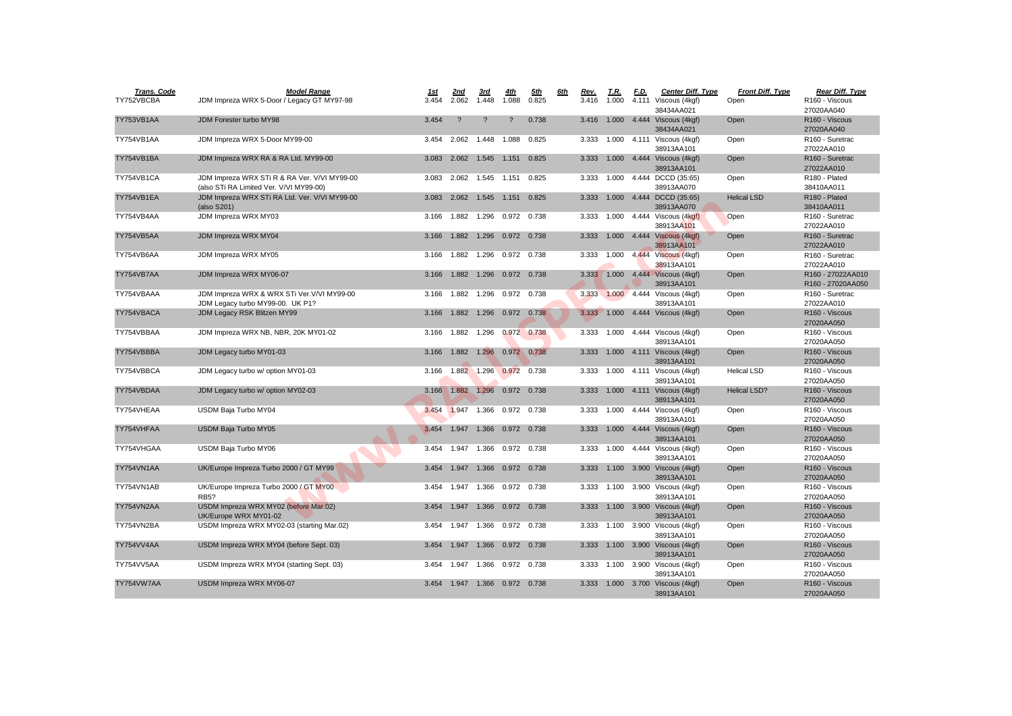| <b>Trans. Code</b> | <b>Model Range</b>                                                                      | <u>1st</u> | <u>2nd</u>                        | 3rd                        | 4th         | <u>5th</u> | <u>6th</u> | Rev.  | <u>T.R.</u> | <u>F.D.</u> | <b>Center Diff. Type</b>                          | <b>Front Diff. Type</b> | Rear Diff. Type                           |
|--------------------|-----------------------------------------------------------------------------------------|------------|-----------------------------------|----------------------------|-------------|------------|------------|-------|-------------|-------------|---------------------------------------------------|-------------------------|-------------------------------------------|
| TY752VBCBA         | JDM Impreza WRX 5-Door / Legacy GT MY97-98                                              | 3.454      | 2.062                             | 1.448                      | 1.088       | 0.825      |            | 3.416 | 1.000       |             | 4.111 Viscous (4kgf)<br>38434AA021                | Open                    | R160 - Viscous<br>27020AA040              |
| TY753VB1AA         | JDM Forester turbo MY98                                                                 | 3.454      | $\overline{?}$                    | $\tilde{?}$                | ?           | 0.738      |            | 3.416 | 1.000       |             | 4.444 Viscous (4kgf)<br>38434AA021                | Open                    | R160 - Viscous<br>27020AA040              |
| TY754VB1AA         | JDM Impreza WRX 5-Door MY99-00                                                          | 3.454      |                                   | 2.062 1.448 1.088          |             | 0.825      |            |       | 3.333 1.000 |             | 4.111 Viscous (4kgf)<br>38913AA101                | Open                    | R <sub>160</sub> - Suretrac<br>27022AA010 |
| TY754VB1BA         | JDM Impreza WRX RA & RA Ltd. MY99-00                                                    | 3.083      |                                   | 2.062 1.545 1.151          |             | 0.825      |            | 3.333 | 1.000       |             | 4.444 Viscous (4kgf)<br>38913AA101                | Open                    | R <sub>160</sub> - Suretrac<br>27022AA010 |
| TY754VB1CA         | JDM Impreza WRX STi R & RA Ver. V/VI MY99-00<br>(also STi RA Limited Ver. V/VI MY99-00) | 3.083      | 2.062                             | 1.545 1.151                |             | 0.825      |            | 3.333 | 1.000       |             | 4.444 DCCD (35:65)<br>38913AA070                  | Open                    | R180 - Plated<br>38410AA011               |
| TY754VB1EA         | JDM Impreza WRX STi RA Ltd. Ver. V/VI MY99-00<br>(also S201)                            | 3.083      |                                   | 2.062 1.545 1.151          |             | 0.825      |            |       |             |             | 3.333 1.000 4.444 DCCD (35:65)<br>38913AA070      | <b>Helical LSD</b>      | R <sub>180</sub> - Plated<br>38410AA011   |
| TY754VB4AA         | JDM Impreza WRX MY03                                                                    | 3.166      | 1.882                             | 1.296  0.972  0.738        |             |            |            | 3.333 | 1.000       |             | 4.444 Viscous (4kgf)<br>38913AA101                | Open                    | R <sub>160</sub> - Suretrac<br>27022AA010 |
| TY754VB5AA         | JDM Impreza WRX MY04                                                                    | 3.166      | 1.882                             | 1.296  0.972  0.738        |             |            |            | 3.333 | 1.000       |             | 4.444 Viscous (4kgf)<br>38913AA101                | Open                    | R <sub>160</sub> - Suretrac<br>27022AA010 |
| TY754VB6AA         | JDM Impreza WRX MY05                                                                    | 3.166      |                                   | 1.882  1.296  0.972  0.738 |             |            |            | 3.333 | 1.000       |             | 4.444 Viscous (4kgf)<br>38913AA101                | Open                    | R <sub>160</sub> - Suretrac<br>27022AA010 |
| TY754VB7AA         | JDM Impreza WRX MY06-07                                                                 | 3.166      |                                   | 1.882  1.296  0.972  0.738 |             |            |            |       |             |             | 3.333 1.000 4.444 Viscous (4kgf)<br>38913AA101    | Open                    | R160 - 27022AA010<br>R160 - 27020AA050    |
| TY754VBAAA         | JDM Impreza WRX & WRX STi Ver. V/VI MY99-00<br>JDM Legacy turbo MY99-00. UK P1?         | 3.166      | 1.882                             | 1.296                      | 0.972 0.738 |            |            | 3.333 |             |             | 1.000 4.444 Viscous (4kgf)<br>38913AA101          | Open                    | R160 - Suretrac<br>27022AA010             |
| TY754VBACA         | JDM Legacy RSK Blitzen MY99                                                             | 3.166      |                                   | 1.882  1.296  0.972  0.738 |             |            |            | 3.333 | 1.000       |             | 4.444 Viscous (4kgf)                              | Open                    | R <sub>160</sub> - Viscous<br>27020AA050  |
| TY754VBBAA         | JDM Impreza WRX NB, NBR, 20K MY01-02                                                    | 3.166      |                                   | 1.882 1.296                | 0.972 0.738 |            |            | 3.333 | 1.000       |             | 4.444 Viscous (4kgf)<br>38913AA101                | Open                    | R <sub>160</sub> - Viscous<br>27020AA050  |
| TY754VBBBA         | JDM Legacy turbo MY01-03                                                                | 3.166      | 1.882                             | 1.296                      | 0.972 0.738 |            |            | 3.333 | 1.000       |             | 4.111 Viscous (4kgf)<br>38913AA101                | Open                    | R160 - Viscous<br>27020AA050              |
| TY754VBBCA         | JDM Legacy turbo w/ option MY01-03                                                      |            | 3.166 1.882 1.296 0.972 0.738     |                            |             |            |            |       |             |             | 3.333 1.000 4.111 Viscous (4kgf)<br>38913AA101    | <b>Helical LSD</b>      | R <sub>160</sub> - Viscous<br>27020AA050  |
| TY754VBDAA         | JDM Legacy turbo w/ option MY02-03                                                      | 3.166      |                                   | 1.882 1.296 0.972 0.738    |             |            |            | 3.333 | 1.000       |             | 4.111 Viscous (4kgf)<br>38913AA101                | <b>Helical LSD?</b>     | R <sub>160</sub> - Viscous<br>27020AA050  |
| TY754VHEAA         | USDM Baja Turbo MY04                                                                    | 3.454      | 1.947                             | 1.366                      | 0.972       | 0.738      |            | 3.333 | 1.000       |             | 4.444 Viscous (4kgf)<br>38913AA101                | Open                    | R <sub>160</sub> - Viscous<br>27020AA050  |
| TY754VHFAA         | <b>USDM Baja Turbo MY05</b>                                                             | 3.454      | 1.947                             | 1.366 0.972 0.738          |             |            |            | 3.333 |             |             | 1.000  4.444  Viscous (4kgf)<br>38913AA101        | <b>Open</b>             | R <sub>160</sub> - Viscous<br>27020AA050  |
| TY754VHGAA         | USDM Baja Turbo MY06                                                                    | 3.454      | 1.947                             | 1.366 0.972 0.738          |             |            |            | 3.333 | 1.000       |             | 4.444 Viscous (4kgf)<br>38913AA101                | Open                    | R160 - Viscous<br>27020AA050              |
| TY754VN1AA         | UK/Europe Impreza Turbo 2000 / GT MY99                                                  | 3.454      |                                   | 1.947  1.366  0.972  0.738 |             |            |            | 3.333 | 1.100       |             | 3.900 Viscous (4kgf)<br>38913AA101                | Open                    | R160 - Viscous<br>27020AA050              |
| TY754VN1AB         | UK/Europe Impreza Turbo 2000 / GT MY00<br><b>RB5?</b>                                   |            | 3.454  1.947  1.366  0.972  0.738 |                            |             |            |            |       |             |             | 3.333 1.100 3.900 Viscous (4kgf)<br>38913AA101    | Open                    | R160 - Viscous<br>27020AA050              |
| TY754VN2AA         | USDM Impreza WRX MY02 (before Mar.02)<br>UK/Europe WRX MY01-02                          |            | 3.454  1.947  1.366  0.972  0.738 |                            |             |            |            |       |             |             | 3.333  1.100  3.900  Viscous (4kgf)<br>38913AA101 | Open                    | R160 - Viscous<br>27020AA050              |
| TY754VN2BA         | USDM Impreza WRX MY02-03 (starting Mar.02)                                              | 3.454      | 1.947                             | 1.366  0.972  0.738        |             |            |            | 3.333 | 1.100       |             | 3.900 Viscous (4kgf)<br>38913AA101                | Open                    | R160 - Viscous<br>27020AA050              |
| TY754VV4AA         | USDM Impreza WRX MY04 (before Sept. 03)                                                 |            | 3.454 1.947 1.366 0.972 0.738     |                            |             |            |            |       |             |             | 3.333  1.100  3.900  Viscous (4kgf)<br>38913AA101 | Open                    | R160 - Viscous<br>27020AA050              |
| TY754VV5AA         | USDM Impreza WRX MY04 (starting Sept. 03)                                               | 3.454      | 1.947                             | 1.366 0.972 0.738          |             |            |            | 3.333 | 1.100       |             | 3.900 Viscous (4kgf)<br>38913AA101                | Open                    | R160 - Viscous<br>27020AA050              |
| TY754VW7AA         | USDM Impreza WRX MY06-07                                                                |            | 3.454 1.947 1.366 0.972 0.738     |                            |             |            |            | 3.333 | 1.000       |             | 3.700 Viscous (4kgf)<br>38913AA101                | Open                    | R160 - Viscous<br>27020AA050              |

| Rear Diff. Type             |
|-----------------------------|
| R160 - Viscous              |
| 27020AA040                  |
| R160 - Viscous              |
| 27020AA040                  |
| R <sub>160</sub> - Suretrac |
| 27022AA010                  |
| R <sub>160</sub> - Suretrac |
| 27022AA010                  |
| R <sub>180</sub> - Plated   |
| 38410AA011                  |
| R <sub>180</sub> - Plated   |
| 38410AA011                  |
| R <sub>160</sub> - Suretrac |
| 27022AA010                  |
| R <sub>160</sub> - Suretrac |
| 27022AA010                  |
| R <sub>160</sub> - Suretrac |
| 27022AA010                  |
| R160 - 27022AA010           |
| R160 - 27020AA050           |
| R160 - Suretrac             |
| 27022AA010                  |
| R <sub>160</sub> - Viscous  |
| 27020AA050                  |
| R <sub>160</sub> - Viscous  |
| 27020AA050                  |
| R <sub>160</sub> - Viscous  |
| 27020AA050                  |
| R <sub>160</sub> - Viscous  |
| 27020AA050                  |
| R160 - Viscous              |
| 27020AA050                  |
| R160 - Viscous              |
| 27020AA050                  |
| R <sub>160</sub> - Viscous  |
| 27020AA050                  |
| R <sub>160</sub> - Viscous  |
| 27020AA050                  |
| R160 - Viscous              |
| 27020AA050                  |
| R160 - Viscous              |
| 27020AA050                  |
| R160 - Viscous              |
| 27020AA050                  |
| R160 - Viscous              |
| 27020AA050                  |
| R160 - Viscous              |
| 27020AA050                  |
| R160 - Viscous              |
| 27020AA050                  |
| R160 - Viscous              |
| 27020AA050                  |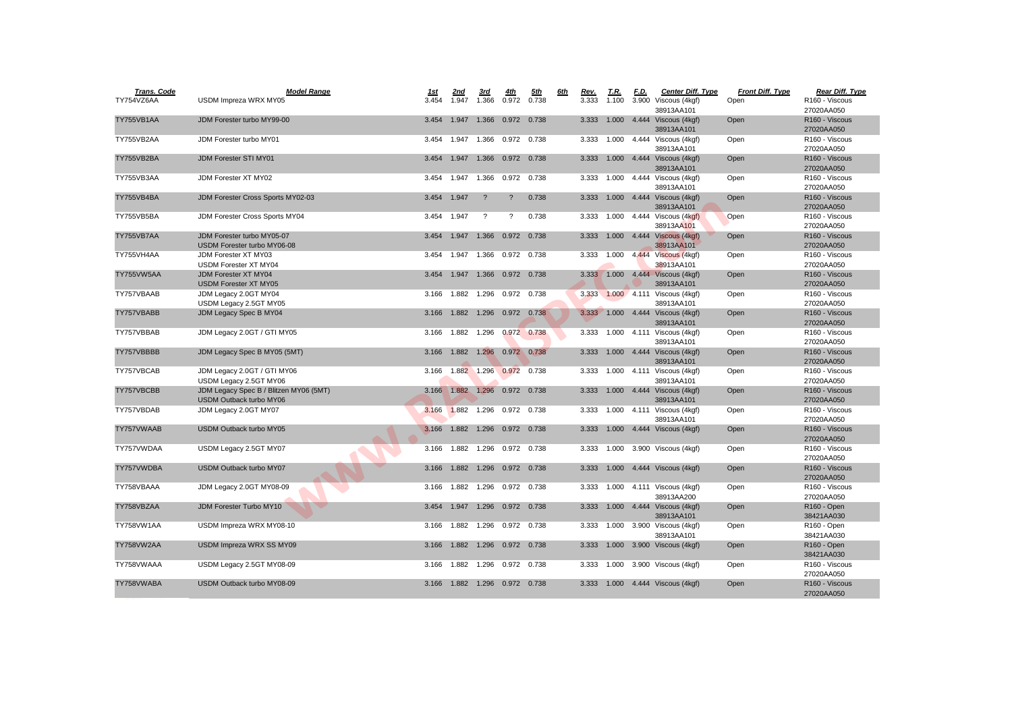| <b>Trans. Code</b> | <b>Model Range</b>                                    | <u> 1st</u> | 2nd                               | 3rd         | <u>4th</u>                 | <u>5th</u>  | 6th | Rev.  | <u>T.R.</u> | <u>F.D.</u> | <b>Center Diff. Type</b>                   | <b>Front Diff. Type</b> | Rear Diff. Type                       |
|--------------------|-------------------------------------------------------|-------------|-----------------------------------|-------------|----------------------------|-------------|-----|-------|-------------|-------------|--------------------------------------------|-------------------------|---------------------------------------|
| TY754VZ6AA         | USDM Impreza WRX MY05                                 | 3.454       | 1.947 1.366                       |             | 0.972                      | 0.738       |     | 3.333 | 1.100       |             | 3.900 Viscous (4kgf)                       | Open                    | R <sub>160</sub> - Viscous            |
|                    |                                                       |             |                                   |             |                            |             |     |       |             |             | 38913AA101                                 |                         | 27020AA050                            |
| TY755VB1AA         | JDM Forester turbo MY99-00                            | 3.454       | 1.947                             |             | 1.366 0.972 0.738          |             |     | 3.333 |             |             | 1.000  4.444  Viscous (4kgf)               | Open                    | R160 - Viscous                        |
|                    |                                                       |             |                                   |             |                            |             |     |       |             |             | 38913AA101                                 |                         | 27020AA050                            |
| TY755VB2AA         | JDM Forester turbo MY01                               | 3.454       | 1.947 1.366                       |             | 0.972 0.738                |             |     | 3.333 | 1.000       |             | 4.444 Viscous (4kgf)                       | Open                    | R160 - Viscous                        |
|                    |                                                       |             |                                   |             |                            |             |     |       |             |             | 38913AA101                                 |                         | 27020AA050                            |
| TY755VB2BA         | <b>JDM Forester STI MY01</b>                          | 3.454       |                                   | 1.947 1.366 | 0.972                      | 0.738       |     | 3.333 |             |             | 1.000  4.444  Viscous (4kgf)               | Open                    | R <sub>160</sub> - Viscous            |
|                    |                                                       |             |                                   |             |                            |             |     |       |             |             | 38913AA101                                 |                         | 27020AA050                            |
| TY755VB3AA         | JDM Forester XT MY02                                  | 3.454       | 1.947                             | 1.366       | 0.972 0.738                |             |     | 3.333 |             |             | 1.000  4.444  Viscous (4kgf)               | Open                    | R <sub>160</sub> - Viscous            |
| TY755VB4BA         | JDM Forester Cross Sports MY02-03                     | 3.454       | 1.947                             | $\gamma$    | $\overline{?}$             | 0.738       |     | 3.333 |             |             | 38913AA101<br>1.000  4.444  Viscous (4kgf) | Open                    | 27020AA050<br>R160 - Viscous          |
|                    |                                                       |             |                                   |             |                            |             |     |       |             |             | 38913AA101                                 |                         | 27020AA050                            |
| TY755VB5BA         | JDM Forester Cross Sports MY04                        | 3.454       | 1.947                             | $\gamma$    | $\gamma$                   | 0.738       |     | 3.333 |             |             | 1.000  4.444  Viscous (4kgf)               | Open                    | R160 - Viscous                        |
|                    |                                                       |             |                                   |             |                            |             |     |       |             |             | 38913AA101                                 |                         | 27020AA050                            |
| TY755VB7AA         | JDM Forester turbo MY05-07                            | 3.454       | 1.947                             | 1.366       |                            | 0.972 0.738 |     | 3.333 |             |             | 1.000  4.444  Viscous (4kgf)               | Open                    | R160 - Viscous                        |
|                    | USDM Forester turbo MY06-08                           |             |                                   |             |                            |             |     |       |             |             | 38913AA101                                 |                         | 27020AA050                            |
| TY755VH4AA         | JDM Forester XT MY03                                  | 3.454       | 1.947 1.366                       |             | 0.972 0.738                |             |     | 3.333 | 1.000       |             | 4.444 Viscous (4kgf)                       | Open                    | R160 - Viscous                        |
|                    | <b>USDM Forester XT MY04</b>                          |             |                                   |             |                            |             |     |       |             |             | 38913AA101                                 |                         | 27020AA050                            |
| TY755VW5AA         | <b>JDM Forester XT MY04</b>                           | 3.454       | 1.947                             | 1.366       |                            | 0.972 0.738 |     |       |             |             | 3.333 1.000 4.444 Viscous (4kgf)           | Open                    | R <sub>160</sub> - Viscous            |
|                    | <b>USDM Forester XT MY05</b>                          |             |                                   |             |                            |             |     |       |             |             | 38913AA101                                 |                         | 27020AA050                            |
| TY757VBAAB         | JDM Legacy 2.0GT MY04                                 | 3.166       | 1.882                             | 1.296       | 0.972 0.738                |             |     |       |             |             | 3.333 1.000 4.111 Viscous (4kgf)           | Open                    | R <sub>160</sub> - Viscous            |
|                    | USDM Legacy 2.5GT MY05                                |             |                                   |             |                            |             |     |       |             |             | 38913AA101                                 |                         | 27020AA050                            |
| TY757VBABB         | JDM Legacy Spec B MY04                                | 3.166       |                                   |             | 1.882  1.296  0.972  0.738 |             |     | 3.333 |             |             | 1.000  4.444  Viscous (4kgf)               | Open                    | R160 - Viscous                        |
|                    |                                                       |             |                                   |             |                            |             |     |       |             |             | 38913AA101                                 |                         | 27020AA050                            |
| TY757VBBAB         | JDM Legacy 2.0GT / GTI MY05                           |             | 3.166 1.882 1.296                 |             | 0.972 0.738                |             |     |       |             |             | 3.333  1.000  4.111  Viscous (4kgf)        | Open                    | R160 - Viscous                        |
|                    |                                                       |             |                                   |             |                            |             |     |       |             |             | 38913AA101                                 |                         | 27020AA050                            |
| TY757VBBBB         | JDM Legacy Spec B MY05 (5MT)                          | 3.166       |                                   | 1.882 1.296 | 0.972 0.738                |             |     | 3.333 |             |             | 1.000  4.444  Viscous (4kgf)               | Open                    | R <sub>160</sub> - Viscous            |
|                    |                                                       |             |                                   |             |                            |             |     |       |             |             | 38913AA101                                 |                         | 27020AA050                            |
| TY757VBCAB         | JDM Legacy 2.0GT / GTI MY06<br>USDM Legacy 2.5GT MY06 | 3.166       |                                   |             | 1.882 1.296 0.972          | 0.738       |     | 3.333 |             |             | 1.000  4.111  Viscous (4kgf)<br>38913AA101 | Open                    | R160 - Viscous<br>27020AA050          |
| TY757VBCBB         | JDM Legacy Spec B / Blitzen MY06 (5MT)                | 3.166       | 1.882 1.296                       |             | 0.972                      | 0.738       |     | 3.333 |             |             | 1.000  4.444  Viscous (4kgf)               | Open                    | R160 - Viscous                        |
|                    | <b>USDM Outback turbo MY06</b>                        |             |                                   |             |                            |             |     |       |             |             | 38913AA101                                 |                         | 27020AA050                            |
| TY757VBDAB         | JDM Legacy 2.0GT MY07                                 | 3.166       | 1.882                             | 1.296       |                            | 0.972 0.738 |     | 3.333 |             |             | 1.000  4.111  Viscous (4kgf)               | Open                    | R <sub>160</sub> - Viscous            |
|                    |                                                       |             |                                   |             |                            |             |     |       |             |             | 38913AA101                                 |                         | 27020AA050                            |
| TY757VWAAB         | <b>USDM Outback turbo MY05</b>                        | 3.166       |                                   |             | 1.882  1.296  0.972  0.738 |             |     |       |             |             | 3.333 1.000 4.444 Viscous (4kgf)           | Open                    | R160 - Viscous                        |
|                    |                                                       |             |                                   |             |                            |             |     |       |             |             |                                            |                         | 27020AA050                            |
| TY757VWDAA         | USDM Legacy 2.5GT MY07                                | 3.166       | 1.882                             | 1.296       | 0.972                      | 0.738       |     |       |             |             | 3.333 1.000 3.900 Viscous (4kgf)           | Open                    | R160 - Viscous                        |
|                    |                                                       |             |                                   |             |                            |             |     |       |             |             |                                            |                         | 27020AA050                            |
| TY757VWDBA         | <b>USDM Outback turbo MY07</b>                        | 3.166       | 1.882                             | 1.296       |                            | 0.972 0.738 |     | 3.333 |             |             | 1.000  4.444  Viscous (4kgf)               | Open                    | R160 - Viscous                        |
|                    |                                                       |             |                                   |             |                            |             |     |       |             |             |                                            |                         | 27020AA050                            |
| TY758VBAAA         | JDM Legacy 2.0GT MY08-09                              |             | 3.166  1.882  1.296  0.972  0.738 |             |                            |             |     |       |             |             | 3.333 1.000 4.111 Viscous (4kgf)           | Open                    | R160 - Viscous                        |
|                    |                                                       |             |                                   |             |                            |             |     |       |             |             | 38913AA200                                 |                         | 27020AA050                            |
| TY758VBZAA         | JDM Forester Turbo MY10                               |             | 3.454 1.947 1.296 0.972 0.738     |             |                            |             |     | 3.333 |             |             | 1.000  4.444  Viscous (4kgf)               | Open                    | R <sub>160</sub> - Open               |
|                    |                                                       |             |                                   |             |                            |             |     |       |             |             | 38913AA101                                 |                         | 38421AA030                            |
| <b>TY758VW1AA</b>  | USDM Impreza WRX MY08-10                              | 3.166       | 1.882                             | 1.296       | 0.972 0.738                |             |     | 3.333 | 1.000       |             | 3.900 Viscous (4kgf)                       | Open                    | R <sub>160</sub> - Open               |
|                    |                                                       |             | 3.166  1.882  1.296  0.972  0.738 |             |                            |             |     |       |             |             | 38913AA101                                 |                         | 38421AA030                            |
| TY758VW2AA         | USDM Impreza WRX SS MY09                              |             |                                   |             |                            |             |     |       |             |             | 3.333  1.000  3.900  Viscous (4kgf)        | Open                    | R <sub>160</sub> - Open<br>38421AA030 |
| TY758VWAAA         | USDM Legacy 2.5GT MY08-09                             |             | 3.166  1.882  1.296  0.972  0.738 |             |                            |             |     |       |             |             | 3.333 1.000 3.900 Viscous (4kgf)           | Open                    | R160 - Viscous                        |
|                    |                                                       |             |                                   |             |                            |             |     |       |             |             |                                            |                         | 27020AA050                            |
| TY758VWABA         | USDM Outback turbo MY08-09                            | 3.166       | 1.882  1.296  0.972  0.738        |             |                            |             |     | 3.333 |             |             | 1.000  4.444  Viscous (4kgf)               | Open                    | R160 - Viscous                        |
|                    |                                                       |             |                                   |             |                            |             |     |       |             |             |                                            |                         | 2702044050                            |

| <u>Rear Diff. Type</u>     |  |
|----------------------------|--|
| R160 - Viscous             |  |
| 27020AA050                 |  |
| R160 - Viscous             |  |
| 27020AA050                 |  |
| R <sub>160</sub> - Viscous |  |
| 27020AA050                 |  |
| R160 - Viscous             |  |
| 27020AA050                 |  |
| R160 - Viscous             |  |
| 27020AA050                 |  |
| R160 - Viscous             |  |
| 27020AA050                 |  |
| R <sub>160</sub> - Viscous |  |
| 27020AA050                 |  |
| R160 - Viscous             |  |
| 27020AA050                 |  |
| R160 - Viscous             |  |
| 27020AA050                 |  |
| R160 - Viscous             |  |
| 27020AA050                 |  |
| R160 - Viscous             |  |
| 27020AA050                 |  |
| R160 - Viscous             |  |
| 27020AA050                 |  |
| R <sub>160</sub> - Viscous |  |
| 27020AA050                 |  |
| R160 - Viscous             |  |
| 27020AA050                 |  |
| R160 - Viscous             |  |
| 27020AA050                 |  |
| R160 - Viscous             |  |
| 27020AA050                 |  |
| R160 - Viscous             |  |
| 27020AA050                 |  |
| R <sub>160</sub> - Viscous |  |
| 27020AA050                 |  |
| R <sub>160</sub> - Viscous |  |
| 27020AA050                 |  |
| R <sub>160</sub> - Viscous |  |
| 27020AA050                 |  |
| R160 - Viscous             |  |
| 27020AA050                 |  |
| R160 - Open                |  |
| 38421AA030                 |  |
| R160 - Open                |  |
| 38421AA030                 |  |
| R160 - Open                |  |
| 38421AA030                 |  |
| R160 - Viscous             |  |
| 27020AA050                 |  |
| R160 - Viscous             |  |
| 27020AA050                 |  |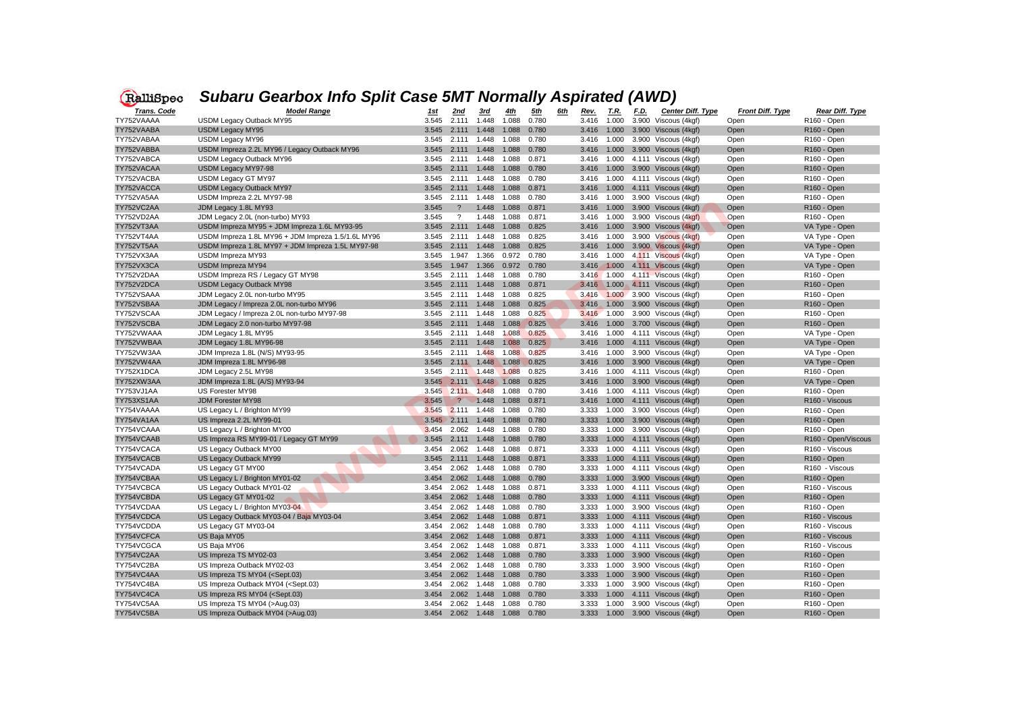

## *Subaru Gearbox Info Split Case 5MT Normally Aspirated (AWD)*

| Trans. Code | <b>Model Range</b>                                                                                                                                                                                                                                   | <u> 1st</u> | 2nd               | 3rd                           | <u>4th</u>  | <u>5th</u> | 6th | Rev.  | T.R.  | F.D. | <b>Center Diff. Type</b>            | <b>Front Diff. Type</b> | Rear Diff. Type            |
|-------------|------------------------------------------------------------------------------------------------------------------------------------------------------------------------------------------------------------------------------------------------------|-------------|-------------------|-------------------------------|-------------|------------|-----|-------|-------|------|-------------------------------------|-------------------------|----------------------------|
| TY752VAAAA  | USDM Legacy Outback MY95                                                                                                                                                                                                                             | 3.545       | 2.111             | 1.448                         | 1.088       | 0.780      |     | 3.416 | 1.000 |      | 3.900 Viscous (4kgf)                | Open                    | R <sub>160</sub> - Open    |
| TY752VAABA  | <b>USDM Legacy MY95</b>                                                                                                                                                                                                                              | 3.545       | 2.111             | 1.448                         | 1.088       | 0.780      |     | 3.416 | 1.000 |      | 3.900 Viscous (4kgf)                | Open                    | R <sub>160</sub> - Open    |
| TY752VABAA  | USDM Legacy MY96                                                                                                                                                                                                                                     | 3.545       | 2.111             | 1.448                         | 1.088       | 0.780      |     | 3.416 | 1.000 |      | 3.900 Viscous (4kgf)                | Open                    | R <sub>160</sub> - Open    |
| TY752VABBA  | USDM Impreza 2.2L MY96 / Legacy Outback MY96                                                                                                                                                                                                         | 3.545       | 2.111 1.448       |                               | 1.088       | 0.780      |     | 3.416 | 1.000 |      | 3.900 Viscous (4kgf)                | Open                    | R <sub>160</sub> - Open    |
| TY752VABCA  | USDM Legacy Outback MY96                                                                                                                                                                                                                             | 3.545       | 2.111 1.448       |                               | 1.088       | 0.871      |     | 3.416 | 1.000 |      | 4.111 Viscous (4kgf)                | Open                    | R <sub>160</sub> - Open    |
| TY752VACAA  | USDM Legacy MY97-98                                                                                                                                                                                                                                  | 3.545       | 2.111             | 1.448                         | 1.088       | 0.780      |     | 3.416 | 1.000 |      | 3.900 Viscous (4kgf)                | Open                    | R <sub>160</sub> - Open    |
| TY752VACBA  | USDM Legacy GT MY97                                                                                                                                                                                                                                  | 3.545       | 2.111             | 1.448                         | 1.088       | 0.780      |     | 3.416 | 1.000 |      | 4.111 Viscous (4kgf)                | Open                    | R <sub>160</sub> - Open    |
| TY752VACCA  | USDM Legacy Outback MY97                                                                                                                                                                                                                             | 3.545       | 2.111             | 1.448                         | 1.088       | 0.871      |     | 3.416 | 1.000 |      | 4.111 Viscous (4kgf)                | Open                    | R <sub>160</sub> - Open    |
| TY752VA5AA  | USDM Impreza 2.2L MY97-98                                                                                                                                                                                                                            | 3.545       | 2.111             | 1.448                         | 1.088       | 0.780      |     | 3.416 | 1.000 |      | 3.900 Viscous (4kgf)                | Open                    | R <sub>160</sub> - Open    |
| TY752VC2AA  | JDM Legacy 1.8L MY93                                                                                                                                                                                                                                 | 3.545       | $\cdot$           | 1.448                         | 1.088       | 0.871      |     | 3.416 |       |      | 1.000 3.900 Viscous (4kgf)          | Open                    | R <sub>160</sub> - Open    |
| TY752VD2AA  | JDM Legacy 2.0L (non-turbo) MY93                                                                                                                                                                                                                     | 3.545       | $\cdot$           | 1.448                         | 1.088       | 0.871      |     | 3.416 | 1.000 |      | 3.900 Viscous (4kgf)                | Open                    | R <sub>160</sub> - Open    |
| TY752VT3AA  | USDM Impreza MY95 + JDM Impreza 1.6L MY93-95                                                                                                                                                                                                         | 3.545       | 2.111             | 1.448                         | 1.088       | 0.825      |     | 3.416 | 1.000 |      | 3.900 Viscous (4kgf)                | <b>Open</b>             | VA Type - Open             |
| TY752VT4AA  | USDM Impreza 1.8L MY96 + JDM Impreza 1.5/1.6L MY96                                                                                                                                                                                                   | 3.545       | 2.111             | 1.448                         | 1.088       | 0.825      |     | 3.416 | 1.000 |      | 3.900 Viscous (4kgf)                | Open                    | VA Type - Open             |
| TY752VT5AA  | USDM Impreza 1.8L MY97 + JDM Impreza 1.5L MY97-98                                                                                                                                                                                                    | 3.545       | 2.111             | 1.448                         | 1.088       | 0.825      |     | 3.416 | 1.000 |      | 3.900 Viscous (4kgf)                | Open                    | VA Type - Open             |
| TY752VX3AA  | USDM Impreza MY93                                                                                                                                                                                                                                    | 3.545       | 1.947             | 1.366                         | 0.972       | 0.780      |     | 3.416 | 1.000 |      | 4.111 Viscous (4kgf)                | Open                    | VA Type - Open             |
| TY752VX3CA  | <b>USDM Impreza MY94</b>                                                                                                                                                                                                                             | 3.545       | 1.947             | 1.366                         | 0.972       | 0.780      |     | 3.416 | 1.000 |      | 4.111 Viscous (4kgf)                | Open                    | VA Type - Open             |
| TY752V2DAA  | USDM Impreza RS / Legacy GT MY98                                                                                                                                                                                                                     | 3.545       | 2.111 1.448       |                               | 1.088       | 0.780      |     | 3.416 | 1.000 |      | 4.111 Viscous (4kgf)                | Open                    | R <sub>160</sub> - Open    |
| TY752V2DCA  | <b>USDM Legacy Outback MY98</b>                                                                                                                                                                                                                      | 3.545       | 2.111             | 1.448                         | 1.088       | 0.871      |     | 3.416 | 1.000 |      | 4.111 Viscous (4kgf)                | Open                    | R <sub>160</sub> - Open    |
| TY752VSAAA  | JDM Legacy 2.0L non-turbo MY95                                                                                                                                                                                                                       | 3.545       | 2.111             | 1.448                         | 1.088       | 0.825      |     | 3.416 |       |      | 1.000 3.900 Viscous (4kgf)          | Open                    | R <sub>160</sub> - Open    |
| TY752VSBAA  | JDM Legacy / Impreza 2.0L non-turbo MY96                                                                                                                                                                                                             | 3.545       | 2.111             | 1.448                         | 1.088       | 0.825      |     | 3.416 |       |      | 1.000 3.900 Viscous (4kgf)          | Open                    | R <sub>160</sub> - Open    |
| TY752VSCAA  | JDM Legacy / Impreza 2.0L non-turbo MY97-98                                                                                                                                                                                                          | 3.545       | 2.111             | 1.448                         | 1.088       | 0.825      |     | 3.416 | 1.000 |      | 3.900 Viscous (4kgf)                | Open                    | R <sub>160</sub> - Open    |
| TY752VSCBA  | JDM Legacy 2.0 non-turbo MY97-98                                                                                                                                                                                                                     | 3.545       | 2.111             | 1.448                         | 1.088       | 0.825      |     | 3.416 |       |      | 1.000 3.700 Viscous (4kgf)          | Open                    | R <sub>160</sub> - Open    |
| TY752VWAAA  | JDM Legacy 1.8L MY95                                                                                                                                                                                                                                 | 3.545       | 2.111 1.448       |                               | 1.088       | 0.825      |     | 3.416 | 1.000 |      | 4.111 Viscous (4kgf)                | Open                    | VA Type - Open             |
| TY752VWBAA  | JDM Legacy 1.8L MY96-98                                                                                                                                                                                                                              | 3.545       | 2.111             | 1.448                         | 1.088       | 0.825      |     | 3.416 | 1.000 |      | 4.111 Viscous (4kgf)                | Open                    | VA Type - Open             |
| TY752VW3AA  | JDM Impreza 1.8L (N/S) MY93-95                                                                                                                                                                                                                       | 3.545       | 2.111             | 1.448                         | 1.088       | 0.825      |     | 3.416 | 1.000 |      | 3.900 Viscous (4kgf)                | Open                    | VA Type - Open             |
| TY752VW4AA  | JDM Impreza 1.8L MY96-98                                                                                                                                                                                                                             | 3.545       | 2.111             | 1.448                         | 1.088       | 0.825      |     | 3.416 |       |      | 1.000 3.900 Viscous (4kgf)          | Open                    | VA Type - Open             |
| TY752X1DCA  | JDM Legacy 2.5L MY98                                                                                                                                                                                                                                 | 3.545       | 2.111             | 1.448                         | 1.088       | 0.825      |     | 3.416 | 1.000 |      | 4.111 Viscous (4kgf)                | Open                    | R <sub>160</sub> - Open    |
| TY752XW3AA  | JDM Impreza 1.8L (A/S) MY93-94                                                                                                                                                                                                                       | 3.545       | 2.111 1.448       |                               | 1.088       | 0.825      |     | 3.416 | 1.000 |      | 3.900 Viscous (4kgf)                | Open                    | VA Type - Open             |
| TY753VJ1AA  | US Forester MY98                                                                                                                                                                                                                                     | 3.545       | 2.111             | 1.448                         | 1.088       | 0.780      |     | 3.416 | 1.000 |      | 4.111 Viscous (4kgf)                | Open                    | R <sub>160</sub> - Open    |
| TY753XS1AA  | <b>JDM Forester MY98</b>                                                                                                                                                                                                                             | 3.545       | $\overline{?}$    | 1.448                         | 1.088       | 0.871      |     | 3.416 | 1.000 |      | 4.111 Viscous (4kgf)                | Open                    | R160 - Viscous             |
| TY754VAAAA  | US Legacy L / Brighton MY99                                                                                                                                                                                                                          | 3.545       | 2.111             | 1.448                         | 1.088       | 0.780      |     | 3.333 | 1.000 |      | 3.900 Viscous (4kgf)                | Open                    | R <sub>160</sub> - Open    |
| TY754VA1AA  | US Impreza 2.2L MY99-01                                                                                                                                                                                                                              | 3.545       | 2.111             | 1.448                         | 1.088       | 0.780      |     | 3.333 |       |      | 1.000 3.900 Viscous (4kgf)          | Open                    | R <sub>160</sub> - Open    |
| TY754VCAAA  | US Legacy L / Brighton MY00                                                                                                                                                                                                                          | 3.454       | 2.062             | 1.448                         | 1.088       | 0.780      |     | 3.333 | 1.000 |      | 3.900 Viscous (4kgf)                | Open                    | R <sub>160</sub> - Open    |
| TY754VCAAB  | US Impreza RS MY99-01 / Legacy GT MY99                                                                                                                                                                                                               | 3.545       | 2.111             | 1.448                         | 1.088       | 0.780      |     | 3.333 | 1.000 |      | 4.111 Viscous (4kgf)                | Open                    | R160 - Open/Viscous        |
| TY754VCACA  | US Legacy Outback MY00                                                                                                                                                                                                                               | 3.454       | 2.062             | 1.448                         | 1.088       | 0.871      |     | 3.333 | 1.000 |      | 4.111 Viscous (4kgf)                | Open                    | R <sub>160</sub> - Viscous |
| TY754VCACB  | US Legacy Outback MY99                                                                                                                                                                                                                               | 3.545       | 2.111             | 1.448                         | 1.088       | 0.871      |     | 3.333 | 1.000 |      | 4.111 Viscous (4kgf)                | Open                    | R <sub>160</sub> - Open    |
| TY754VCADA  | US Legacy GT MY00                                                                                                                                                                                                                                    | 3.454       | 2.062             | 1.448                         | 1.088       | 0.780      |     | 3.333 | 1.000 |      | 4.111 Viscous (4kgf)                | Open                    | R <sub>160</sub> - Viscous |
| TY754VCBAA  | US Legacy L / Brighton MY01-02                                                                                                                                                                                                                       | 3.454       | 2.062             | 1.448                         | 1.088       | 0.780      |     | 3.333 |       |      | 1.000 3.900 Viscous (4kgf)          | Open                    | R <sub>160</sub> - Open    |
| TY754VCBCA  | US Legacy Outback MY01-02                                                                                                                                                                                                                            | 3.454       | 2.062             | 1.448                         | 1.088       | 0.871      |     | 3.333 | 1.000 |      | 4.111 Viscous (4kgf)                | Open                    | R <sub>160</sub> - Viscous |
| TY754VCBDA  | US Legacy GT MY01-02                                                                                                                                                                                                                                 | 3.454       | 2.062 1.448       |                               | 1.088       | 0.780      |     | 3.333 | 1.000 |      | 4.111 Viscous (4kgf)                | Open                    | R <sub>160</sub> - Open    |
| TY754VCDAA  | US Legacy L / Brighton MY03-04                                                                                                                                                                                                                       |             | 3.454 2.062 1.448 |                               | 1.088       | 0.780      |     | 3.333 |       |      | 1.000 3.900 Viscous (4kgf)          | Open                    | R <sub>160</sub> - Open    |
| TY754VCDCA  | US Legacy Outback MY03-04 / Baja MY03-04                                                                                                                                                                                                             |             | 3.454 2.062 1.448 |                               | 1.088       | 0.871      |     | 3.333 | 1.000 |      | 4.111 Viscous (4kgf)                | Open                    | R160 - Viscous             |
| TY754VCDDA  | US Legacy GT MY03-04                                                                                                                                                                                                                                 | 3.454       | 2.062 1.448       |                               | 1.088       | 0.780      |     | 3.333 | 1.000 |      | 4.111 Viscous (4kgf)                | Open                    | R160 - Viscous             |
| TY754VCFCA  | US Baja MY05                                                                                                                                                                                                                                         |             |                   | 3.454 2.062 1.448 1.088 0.871 |             |            |     | 3.333 |       |      | 1.000  4.111  Viscous (4kgf)        | Open                    | R160 - Viscous             |
| TY754VCGCA  | US Baja MY06                                                                                                                                                                                                                                         |             |                   | 3.454 2.062 1.448 1.088 0.871 |             |            |     | 3.333 |       |      | 1.000  4.111  Viscous (4kgf)        | Open                    | R160 - Viscous             |
| TY754VC2AA  | US Impreza TS MY02-03                                                                                                                                                                                                                                |             | 3.454 2.062 1.448 |                               | 1.088       | 0.780      |     | 3.333 |       |      | 1.000 3.900 Viscous (4kgf)          | Open                    | R <sub>160</sub> - Open    |
| TY754VC2BA  | US Impreza Outback MY02-03                                                                                                                                                                                                                           | 3.454       | 2.062 1.448       |                               | 1.088       | 0.780      |     | 3.333 | 1.000 |      | 3.900 Viscous (4kgf)                | Open                    | R <sub>160</sub> - Open    |
| TY754VC4AA  | US Impreza TS MY04 ( <sept.03)< td=""><td>3.454</td><td>2.062 1.448</td><td></td><td>1.088</td><td>0.780</td><td></td><td>3.333</td><td>1.000</td><td></td><td>3.900 Viscous (4kgf)</td><td>Open</td><td>R<sub>160</sub> - Open</td></sept.03)<>     | 3.454       | 2.062 1.448       |                               | 1.088       | 0.780      |     | 3.333 | 1.000 |      | 3.900 Viscous (4kgf)                | Open                    | R <sub>160</sub> - Open    |
| TY754VC4BA  | US Impreza Outback MY04 ( <sept.03)< td=""><td>3.454</td><td>2.062</td><td>1.448</td><td>1.088</td><td>0.780</td><td></td><td>3.333</td><td>1.000</td><td></td><td>3.900 Viscous (4kgf)</td><td>Open</td><td>R<sub>160</sub> - Open</td></sept.03)<> | 3.454       | 2.062             | 1.448                         | 1.088       | 0.780      |     | 3.333 | 1.000 |      | 3.900 Viscous (4kgf)                | Open                    | R <sub>160</sub> - Open    |
| TY754VC4CA  | US Impreza RS MY04 ( <sept.03)< td=""><td></td><td>3.454 2.062 1.448</td><td></td><td>1.088</td><td>0.780</td><td></td><td>3.333</td><td></td><td></td><td>1.000  4.111  Viscous (4kgf)</td><td>Open</td><td>R<sub>160</sub> - Open</td></sept.03)<> |             | 3.454 2.062 1.448 |                               | 1.088       | 0.780      |     | 3.333 |       |      | 1.000  4.111  Viscous (4kgf)        | Open                    | R <sub>160</sub> - Open    |
| TY754VC5AA  | US Impreza TS MY04 (>Aug.03)                                                                                                                                                                                                                         |             |                   | 3.454 2.062 1.448             | 1.088 0.780 |            |     | 3.333 |       |      | 1.000 3.900 Viscous (4kgf)          | Open                    | R <sub>160</sub> - Open    |
| TY754VC5BA  | US Impreza Outback MY04 (>Aug.03)                                                                                                                                                                                                                    |             |                   | 3.454 2.062 1.448 1.088 0.780 |             |            |     |       |       |      | 3.333  1.000  3.900  Viscous (4kgf) | Open                    | R <sub>160</sub> - Open    |
|             |                                                                                                                                                                                                                                                      |             |                   |                               |             |            |     |       |       |      |                                     |                         |                            |

| Rear Diff. Type         |
|-------------------------|
| R160 - Open             |
| R160 - Open             |
| R160 - Open             |
| R160 - Open             |
| R160 - Open             |
| R160 - Open             |
| R160 - Open             |
| R <sub>160</sub> - Open |
| R160 - Open             |
| R160 - Open             |
| R160 - Open             |
| VA Type - Open          |
| VA Type - Open          |
| VA Type - Open          |
| VA Type - Open          |
| VA Type - Open          |
| R160 - Open             |
| R160 - Open             |
| R160 - Open             |
| R <sub>160</sub> - Open |
| R160 - Open             |
| R160 - Open             |
| VA Type - Open          |
| VA Type - Open          |
| VA Type - Open          |
| VA Type - Open          |
| R160 - Open             |
| VA Type - Open          |
| R160 - Open             |
| R160 - Viscous          |
| R160 - Open             |
| R160 - Open             |
| R160 - Open             |
| R160 - Open/Viscous     |
| R160 - Viscous          |
| R <sub>160</sub> - Open |
| R160 - Viscous          |
| R <sub>160</sub> - Open |
| R160 - Viscous          |
| R160 - Open             |
| R160 - Open             |
| R160 - Viscous          |
| R160 - Viscous          |
| R160 - Viscous          |
| R160 - Viscous          |
| R <sub>160</sub> - Open |
| R <sub>160</sub> - Open |
| R <sub>160</sub> - Open |
| R <sub>160</sub> - Open |
| R <sub>160</sub> - Open |
| R160 - Open             |
| R <sub>160</sub> - Open |